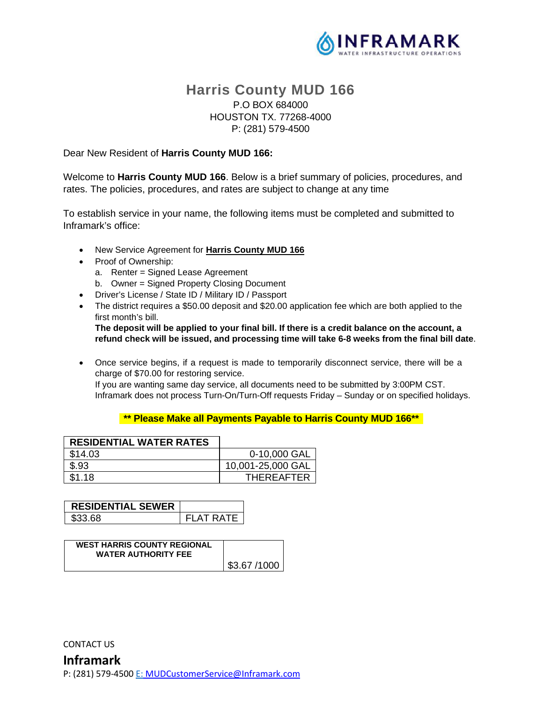

# **Harris County MUD 166**  P.O BOX 684000 HOUSTON TX. 77268-4000 P: (281) 579-4500

#### Dear New Resident of **Harris County MUD 166:**

Welcome to **Harris County MUD 166**. Below is a brief summary of policies, procedures, and rates. The policies, procedures, and rates are subject to change at any time

To establish service in your name, the following items must be completed and submitted to Inframark's office:

- New Service Agreement for **Harris County MUD 166**
- Proof of Ownership:
	- a. Renter = Signed Lease Agreement
	- b. Owner = Signed Property Closing Document
- Driver's License / State ID / Military ID / Passport
- The district requires a \$50.00 deposit and \$20.00 application fee which are both applied to the first month's bill.

**The deposit will be applied to your final bill. If there is a credit balance on the account, a refund check will be issued, and processing time will take 6-8 weeks from the final bill date**.

 Once service begins, if a request is made to temporarily disconnect service, there will be a charge of \$70.00 for restoring service. If you are wanting same day service, all documents need to be submitted by 3:00PM CST. Inframark does not process Turn-On/Turn-Off requests Friday – Sunday or on specified holidays.

#### **\*\* Please Make all Payments Payable to Harris County MUD 166\*\***

| <b>RESIDENTIAL WATER RATES</b> |                   |
|--------------------------------|-------------------|
| \$14.03                        | 0-10,000 GAL      |
| \$.93                          | 10,001-25,000 GAL |
| \$1.18                         | <b>THEREAFTER</b> |

| <b>RESIDENTIAL SEWER</b> |                  |
|--------------------------|------------------|
| \$33.68                  | <b>FLAT RATE</b> |

| <b>WEST HARRIS COUNTY REGIONAL</b><br><b>WATER AUTHORITY FEE</b> |             |
|------------------------------------------------------------------|-------------|
|                                                                  | \$3.67/1000 |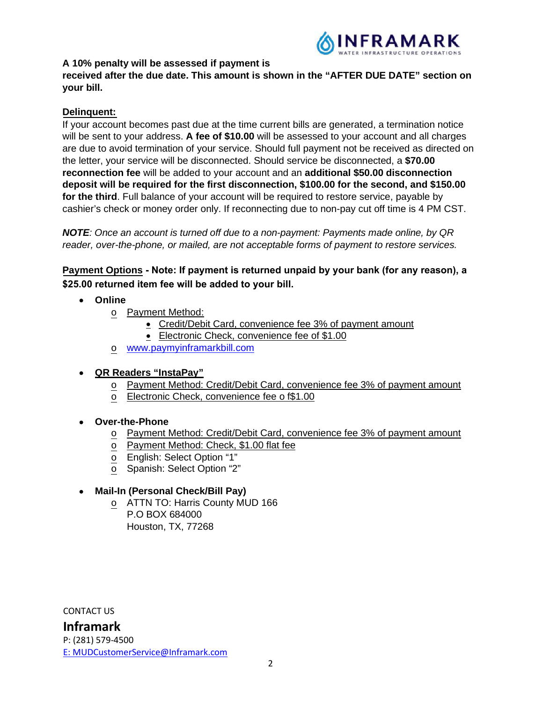

## **A 10% penalty will be assessed if payment is**

## **received after the due date. This amount is shown in the "AFTER DUE DATE" section on your bill.**

## **Delinquent:**

If your account becomes past due at the time current bills are generated, a termination notice will be sent to your address. **A fee of \$10.00** will be assessed to your account and all charges are due to avoid termination of your service. Should full payment not be received as directed on the letter, your service will be disconnected. Should service be disconnected, a **\$70.00 reconnection fee** will be added to your account and an **additional \$50.00 disconnection deposit will be required for the first disconnection, \$100.00 for the second, and \$150.00 for the third**. Full balance of your account will be required to restore service, payable by cashier's check or money order only. If reconnecting due to non-pay cut off time is 4 PM CST.

*NOTE: Once an account is turned off due to a non-payment: Payments made online, by QR reader, over-the-phone, or mailed, are not acceptable forms of payment to restore services.*

**Payment Options Note: If payment is returned unpaid by your bank (for any reason), a \$25.00 returned item fee will be added to your bill.**

- **Online** 
	- o **Payment Method:** 
		- Credit/Debit Card, convenience fee 3% of payment amount
		- Electronic Check, convenience fee of \$1.00
	- o [www.paymyinframarkbill.com](http://www.paymyinframarkbill.com/)

## **QR Readers "InstaPay"**

- o Payment Method: Credit/Debit Card, convenience fee 3% of payment amount
- o Electronic Check, convenience fee o f\$1.00
- **Over-the-Phone**
	- o Payment Method: Credit/Debit Card, convenience fee 3% of payment amount
	- o Payment Method: Check, \$1.00 flat fee
	- o English: Select Option "1"
	- $\overline{\circ}$  Spanish: Select Option "2"

### **Mail-In (Personal Check/Bill Pay)**

o ATTN TO: Harris County MUD 166 P.O BOX 684000 Houston, TX, 77268

CONTACT US

**Inframark**  P: (281) 579-4500 [E:](ftp://E:_MUDCustomerService@inframark.com/) MUDCustomerService@Inframark.com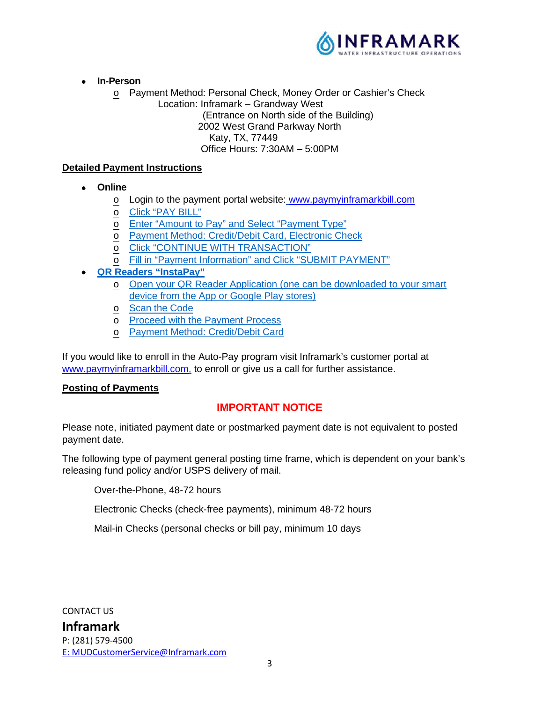

- **In-Person** 
	- o Payment Method: Personal Check, Money Order or Cashier's Check
		- Location: Inframark Grandway West

(Entrance on North side of the Building)

2002 West Grand Parkway North

Katy, TX, 77449

Office Hours: 7:30AM – 5:00PM

## **Detailed Payment Instructions**

- **Online** 
	- o Login to the payment portal website: [www.paymyinframarkbill.com](http://www.paymyinframarkbill.com/)
	- o Click "PAY BILL"
	- o Enter "Amount to Pay" and Select "Payment Type"
	- o Payment Method: Credit/Debit Card, Electronic Check
	- o Click "CONTINUE WITH TRANSACTION"
	- o Fill in "Payment Information" and Click "SUBMIT PAYMENT"
- **QR Readers "InstaPay"** 
	- o Open your QR Reader Application (one can be downloaded to your smart device from the App or Google Play stores)
	- o Scan the Code
	- o Proceed with the Payment Process
	- Payment Method: Credit/Debit Card

[If you would like to enroll in the](http://www.paymyinframarkbill.com/) Auto-Pay program visit Inframark's customer portal at www.paymyinframarkbill.com, to enroll or give us a call for further assistance.

### **Posting of Payments**

## **IMPORTANT NOTICE**

Please note, initiated payment date or postmarked payment date is not equivalent to posted payment date.

The following type of payment general posting time frame, which is dependent on your bank's releasing fund policy and/or USPS delivery of mail.

Over-the-Phone, 48-72 hours

Electronic Checks (check-free payments), minimum 48-72 hours

Mail-in Checks (personal checks or bill pay, minimum 10 days

CONTACT US